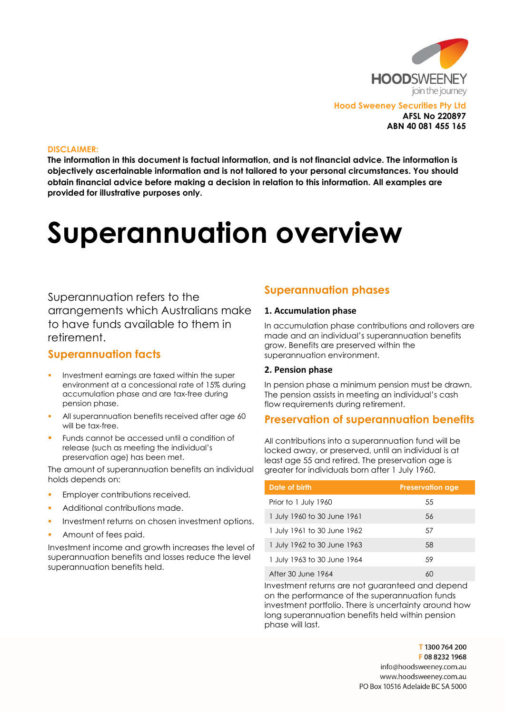

Hood Sweeney Securities Pty Ltd AFSL No 220897 ABN 40 081 455 165

### DISCLAIMER:

The information in this document is factual information, and is not financial advice. The information is objectively ascertainable information and is not tailored to your personal circumstances. You should obtain financial advice before making a decision in relation to this information. All examples are provided for illustrative purposes only.

# Superannuation overview

Superannuation refers to the arrangements which Australians make to have funds available to them in retirement.

## Superannuation facts

- Investment earnings are taxed within the super environment at a concessional rate of 15% during accumulation phase and are tax-free during pension phase.
- All superannuation benefits received after age 60 will be tax-free.
- Funds cannot be accessed until a condition of release (such as meeting the individual's preservation age) has been met.

The amount of superannuation benefits an individual holds depends on:

- Employer contributions received.
- Additional contributions made.
- Investment returns on chosen investment options.
- Amount of fees paid.

Investment income and growth increases the level of superannuation benefits and losses reduce the level superannuation benefits held.

# Superannuation phases

## 1. Accumulation phase

In accumulation phase contributions and rollovers are made and an individual's superannuation benefits grow. Benefits are preserved within the superannuation environment.

## 2. Pension phase

In pension phase a minimum pension must be drawn. The pension assists in meeting an individual's cash flow requirements during retirement.

## Preservation of superannuation benefits

All contributions into a superannuation fund will be locked away, or preserved, until an individual is at least age 55 and retired. The preservation age is greater for individuals born after 1 July 1960.

| Date of birth               | <b>Preservation age</b> |
|-----------------------------|-------------------------|
| Prior to 1 July 1960        | 55                      |
| 1 July 1960 to 30 June 1961 | 56                      |
| 1 July 1961 to 30 June 1962 | .57                     |
| 1 July 1962 to 30 June 1963 | 58                      |
| 1 July 1963 to 30 June 1964 | .59                     |
| After 30 June 1964          |                         |

Investment returns are not guaranteed and depend on the performance of the superannuation funds investment portfolio. There is uncertainty around how long superannuation benefits held within pension phase will last.

> T1300764200 F0882321968 info@hoodsweenev.com.au www.hoodsweeney.com.au PO Box 10516 Adelaide BC SA 5000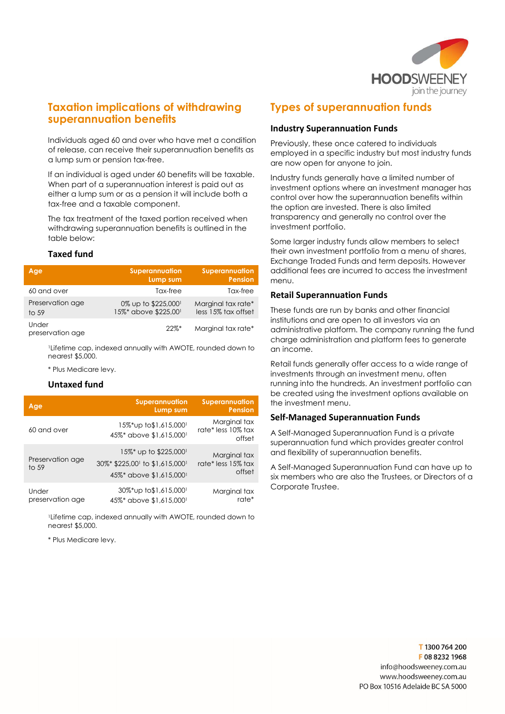

# Taxation implications of withdrawing superannuation benefits

Individuals aged 60 and over who have met a condition of release, can receive their superannuation benefits as a lump sum or pension tax-free.

If an individual is aged under 60 benefits will be taxable. When part of a superannuation interest is paid out as either a lump sum or as a pension it will include both a tax-free and a taxable component.

The tax treatment of the taxed portion received when withdrawing superannuation benefits is outlined in the table below:

#### Taxed fund

| Age                         | <b>Superannuation</b><br>Lump sum           | <b>Superannuation</b><br><b>Pension</b>   |
|-----------------------------|---------------------------------------------|-------------------------------------------|
| 60 and over                 | Tax-free                                    | Tax-free                                  |
| Preservation age<br>to $59$ | 0% up to \$225,0001<br>15%* above \$225,001 | Marginal tax rate*<br>less 15% tax offset |
| Under<br>preservation age   | $22\%$ *                                    | Marginal tax rate*                        |

<sup>1</sup>Lifetime cap, indexed annually with AWOTE, rounded down to nearest \$5,000.

\* Plus Medicare levy.

#### Untaxed fund

| Age                         | <b>Superannuation</b><br>Lump sum                                                 | <b>Superannuation</b><br><b>Pension</b>      |
|-----------------------------|-----------------------------------------------------------------------------------|----------------------------------------------|
| 60 and over                 | 15%*up to\$1,615,0001<br>45%* above \$1,615,0001                                  | Marginal tax<br>rate* less 10% tax<br>offset |
| Preservation age<br>to $59$ | 15%* up to \$225,000<br>30%* \$225,001 to \$1,615,0001<br>45%* above \$1,615,0001 | Marginal tax<br>rate* less 15% tax<br>offset |
| Under<br>preservation age   | 30%*up to\$1,615,000<br>45%* above \$1,615,0001                                   | Marginal tax<br>rate*                        |

<sup>1</sup>Lifetime cap, indexed annually with AWOTE, rounded down to nearest \$5,000.

\* Plus Medicare levy.

# Types of superannuation funds

#### Industry Superannuation Funds

Previously, these once catered to individuals employed in a specific industry but most industry funds are now open for anyone to join.

Industry funds generally have a limited number of investment options where an investment manager has control over how the superannuation benefits within the option are invested. There is also limited transparency and generally no control over the investment portfolio.

Some larger industry funds allow members to select their own investment portfolio from a menu of shares, Exchange Traded Funds and term deposits. However additional fees are incurred to access the investment menu.

#### Retail Superannuation Funds

These funds are run by banks and other financial institutions and are open to all investors via an administrative platform. The company running the fund charge administration and platform fees to generate an income.

Retail funds generally offer access to a wide range of investments through an investment menu, often running into the hundreds. An investment portfolio can be created using the investment options available on the investment menu.

#### Self-Managed Superannuation Funds

A Self-Managed Superannuation Fund is a private superannuation fund which provides greater control and flexibility of superannuation benefits.

A Self-Managed Superannuation Fund can have up to six members who are also the Trustees, or Directors of a Corporate Trustee.

> T1300764200 F0882321968 info@hoodsweeney.com.au www.hoodsweeney.com.au PO Box 10516 Adelaide BC SA 5000